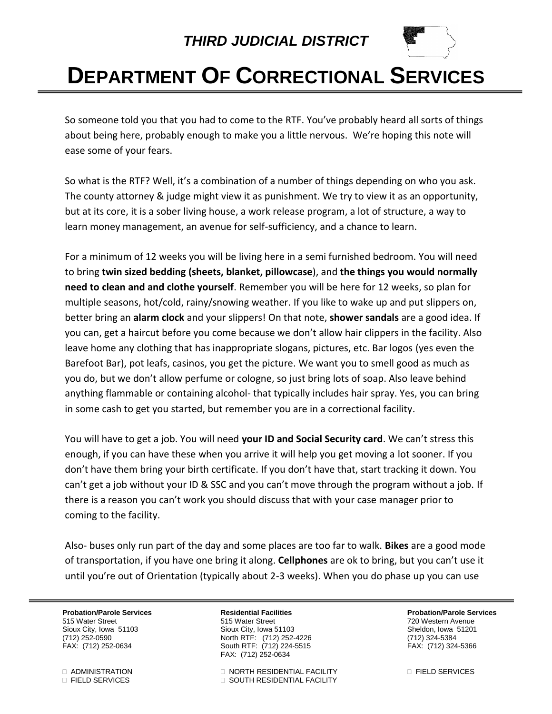## *THIRD JUDICIAL DISTRICT*



## **DEPARTMENT OF CORRECTIONAL SERVICES**

So someone told you that you had to come to the RTF. You've probably heard all sorts of things about being here, probably enough to make you a little nervous. We're hoping this note will ease some of your fears.

So what is the RTF? Well, it's a combination of a number of things depending on who you ask. The county attorney & judge might view it as punishment. We try to view it as an opportunity, but at its core, it is a sober living house, a work release program, a lot of structure, a way to learn money management, an avenue for self-sufficiency, and a chance to learn.

For a minimum of 12 weeks you will be living here in a semi furnished bedroom. You will need to bring **twin sized bedding (sheets, blanket, pillowcase**), and **the things you would normally need to clean and and clothe yourself**. Remember you will be here for 12 weeks, so plan for multiple seasons, hot/cold, rainy/snowing weather. If you like to wake up and put slippers on, better bring an **alarm clock** and your slippers! On that note, **shower sandals** are a good idea. If you can, get a haircut before you come because we don't allow hair clippers in the facility. Also leave home any clothing that has inappropriate slogans, pictures, etc. Bar logos (yes even the Barefoot Bar), pot leafs, casinos, you get the picture. We want you to smell good as much as you do, but we don't allow perfume or cologne, so just bring lots of soap. Also leave behind anything flammable or containing alcohol- that typically includes hair spray. Yes, you can bring in some cash to get you started, but remember you are in a correctional facility.

You will have to get a job. You will need **your ID and Social Security card**. We can't stress this enough, if you can have these when you arrive it will help you get moving a lot sooner. If you don't have them bring your birth certificate. If you don't have that, start tracking it down. You can't get a job without your ID & SSC and you can't move through the program without a job. If there is a reason you can't work you should discuss that with your case manager prior to coming to the facility.

Also- buses only run part of the day and some places are too far to walk. **Bikes** are a good mode of transportation, if you have one bring it along. **Cellphones** are ok to bring, but you can't use it until you're out of Orientation (typically about 2-3 weeks). When you do phase up you can use

**Probation/Parole Services Residential Facilities Probation/Parole Services** 515 Water Street 515 Water Street 720 Western Avenue Sioux City, Iowa 51103 Sioux City, Iowa 51103 Sheldon, Iowa 51201 (712) 252-0590 North RTF: (712) 252-4226 (712) 324-5384 South RTF: (712) 224-5515 FAX: (712) 252-0634

 ADMINISTRATION NORTH RESIDENTIAL FACILITY FIELD SERVICES FIELD SERVICES SOUTH RESIDENTIAL FACILITY